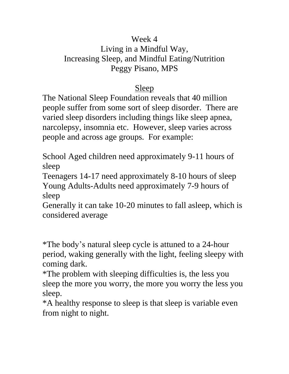## Week 4

## Living in a Mindful Way, Increasing Sleep, and Mindful Eating/Nutrition Peggy Pisano, MPS

## Sleep

The National Sleep Foundation reveals that 40 million people suffer from some sort of sleep disorder. There are varied sleep disorders including things like sleep apnea, narcolepsy, insomnia etc. However, sleep varies across people and across age groups. For example:

School Aged children need approximately 9-11 hours of sleep

Teenagers 14-17 need approximately 8-10 hours of sleep Young Adults-Adults need approximately 7-9 hours of sleep

Generally it can take 10-20 minutes to fall asleep, which is considered average

\*The body's natural sleep cycle is attuned to a 24-hour period, waking generally with the light, feeling sleepy with coming dark.

\*The problem with sleeping difficulties is, the less you sleep the more you worry, the more you worry the less you sleep.

\*A healthy response to sleep is that sleep is variable even from night to night.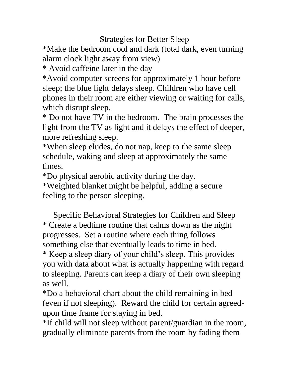Strategies for Better Sleep

\*Make the bedroom cool and dark (total dark, even turning alarm clock light away from view)

\* Avoid caffeine later in the day

\*Avoid computer screens for approximately 1 hour before sleep; the blue light delays sleep. Children who have cell phones in their room are either viewing or waiting for calls, which disrupt sleep.

\* Do not have TV in the bedroom. The brain processes the light from the TV as light and it delays the effect of deeper, more refreshing sleep.

\*When sleep eludes, do not nap, keep to the same sleep schedule, waking and sleep at approximately the same times.

\*Do physical aerobic activity during the day.

\*Weighted blanket might be helpful, adding a secure feeling to the person sleeping.

Specific Behavioral Strategies for Children and Sleep \* Create a bedtime routine that calms down as the night progresses. Set a routine where each thing follows something else that eventually leads to time in bed. \* Keep a sleep diary of your child's sleep. This provides you with data about what is actually happening with regard to sleeping. Parents can keep a diary of their own sleeping as well.

\*Do a behavioral chart about the child remaining in bed (even if not sleeping). Reward the child for certain agreedupon time frame for staying in bed.

\*If child will not sleep without parent/guardian in the room, gradually eliminate parents from the room by fading them